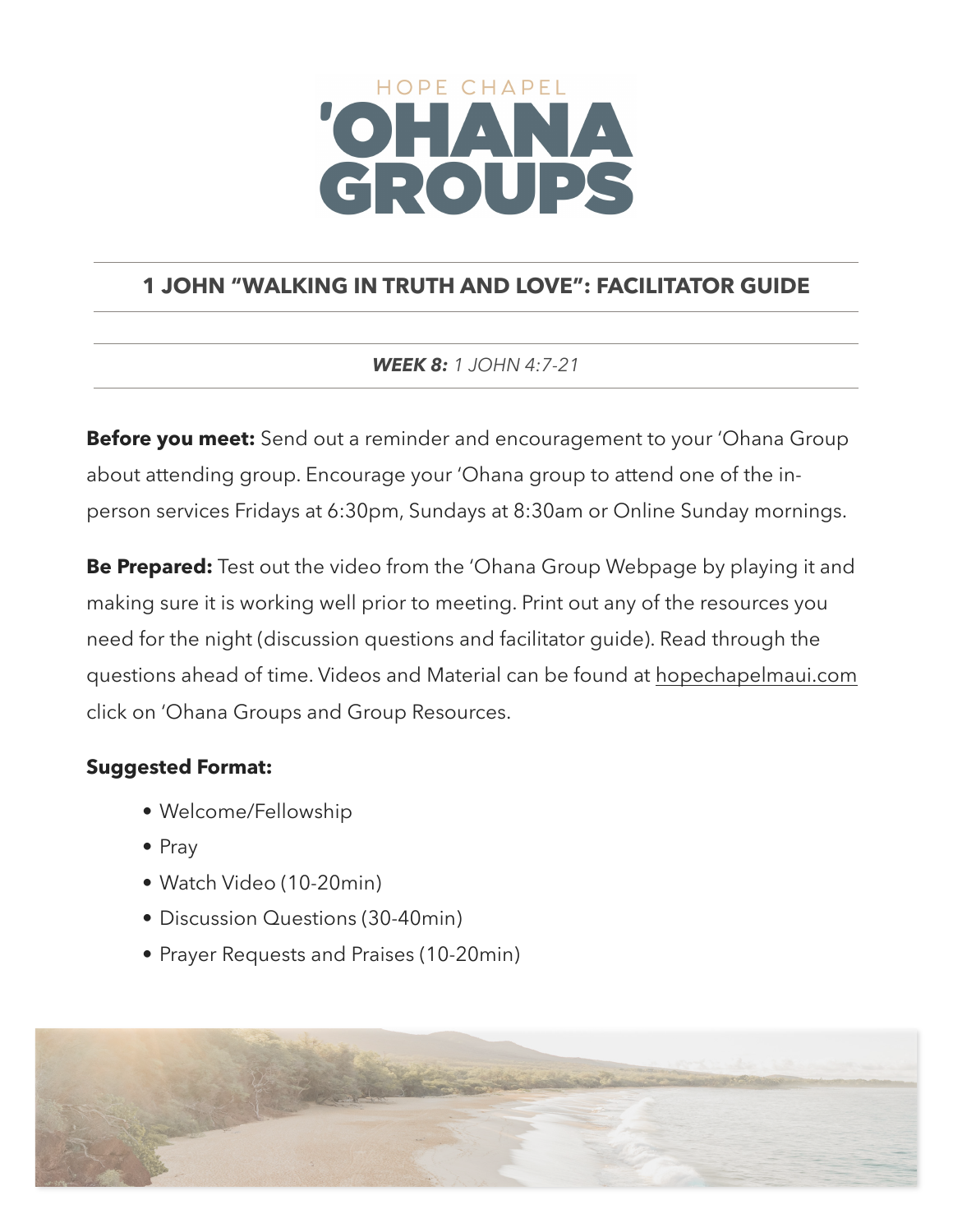# HOPE CHAPEL CROUPS

# **1 JOHN "WALKING IN TRUTH AND LOVE": FACILITATOR GUIDE**

## *WEEK 8: 1 JOHN 4:7-21*

**Before you meet:** Send out a reminder and encouragement to your 'Ohana Group about attending group. Encourage your 'Ohana group to attend one of the inperson services Fridays at 6:30pm, Sundays at 8:30am or Online Sunday mornings.

**Be Prepared:** Test out the video from the 'Ohana Group Webpage by playing it and making sure it is working well prior to meeting. Print out any of the resources you need for the night (discussion questions and facilitator guide). Read through the questions ahead of time. Videos and Material can be found at [hopechapelmaui.com](http://care.hopechapelmaui.com) click on 'Ohana Groups and Group Resources.

## **Suggested Format:**

- Welcome/Fellowship
- Pray
- Watch Video (10-20min)
- Discussion Questions (30-40min)
- Prayer Requests and Praises (10-20min)